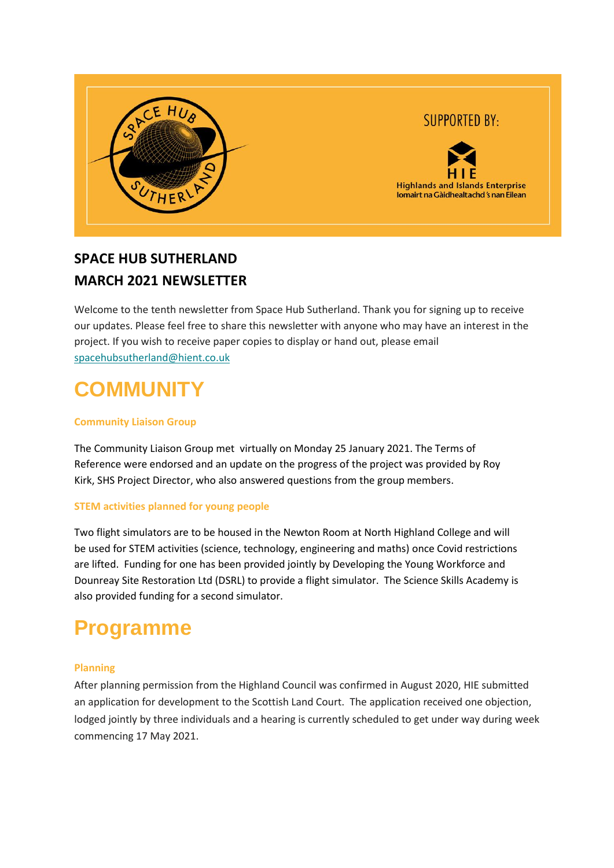

## **SUPPORTED BY:**



## **SPACE HUB SUTHERLAND MARCH 2021 NEWSLETTER**

Welcome to the tenth newsletter from Space Hub Sutherland. Thank you for signing up to receive our updates. Please feel free to share this newsletter with anyone who may have an interest in the project. If you wish to receive paper copies to display or hand out, please email [spacehubsutherland@hient.co.uk](mailto:spacehubsutherland@hient.co.uk)

# **COMMUNITY**

### **Community Liaison Group**

The Community Liaison Group met virtually on Monday 25 January 2021. The Terms of Reference were endorsed and an update on the progress of the project was provided by Roy Kirk, SHS Project Director, who also answered questions from the group members.

### **STEM activities planned for young people**

Two flight simulators are to be housed in the Newton Room at North Highland College and will be used for STEM activities (science, technology, engineering and maths) once Covid restrictions are lifted. Funding for one has been provided jointly by Developing the Young Workforce and Dounreay Site Restoration Ltd (DSRL) to provide a flight simulator. The Science Skills Academy is also provided funding for a second simulator.

# **Programme**

### **Planning**

After planning permission from the Highland Council was confirmed in August 2020, HIE submitted an application for development to the Scottish Land Court. The application received one objection, lodged jointly by three individuals and a hearing is currently scheduled to get under way during week commencing 17 May 2021.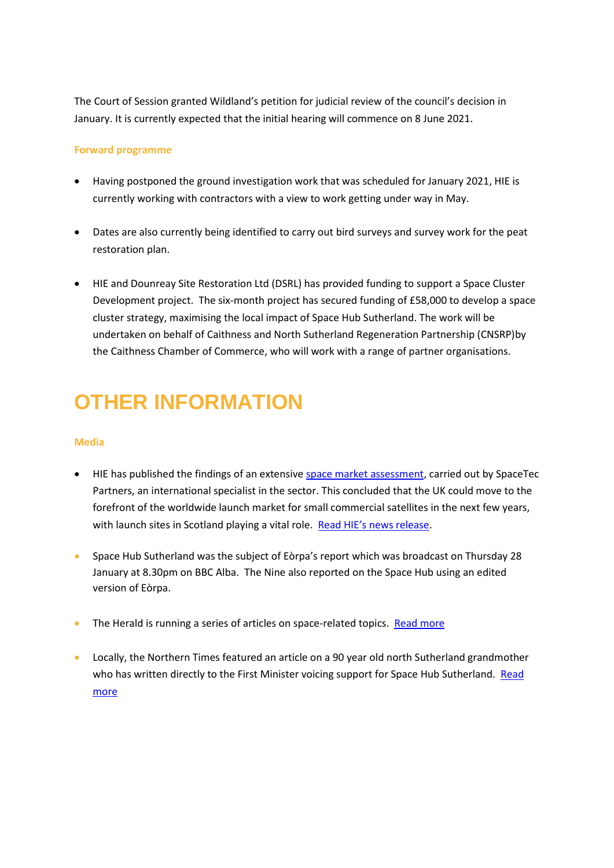The Court of Session granted Wildland's petition for judicial review of the council's decision in January. It is currently expected that the initial hearing will commence on 8 June 2021.

### **Forward programme**

- Having postponed the ground investigation work that was scheduled for January 2021, HIE is currently working with contractors with a view to work getting under way in May.
- Dates are also currently being identified to carry out bird surveys and survey work for the peat restoration plan.
- HIE and Dounreay Site Restoration Ltd (DSRL) has provided funding to support a Space Cluster Development project. The six-month project has secured funding of £58,000 to develop a space cluster strategy, maximising the local impact of Space Hub Sutherland. The work will be undertaken on behalf of Caithness and North Sutherland Regeneration Partnership (CNSRP)by the Caithness Chamber of Commerce, who will work with a range of partner organisations.

# **OTHER INFORMATION**

### **Media**

- HIE has published the findings of an extensive [space market assessment,](https://www.hie.co.uk/space) carried out by SpaceTec Partners, an international specialist in the sector. This concluded that the UK could move to the forefront of the worldwide launch market for small commercial satellites in the next few years, with launch sites in Scotland playing a vital role. [Read HIE's news release](https://www.hie.co.uk/latest-news/2021/march/22/new-study-reveals-multi-billion-pound-economic-potential-of-uk-space-industry/?returnUrl=%2Flatest-news%2F%3FcurrentPageId%3D1542%26page%3D1%26showAllResults%3Dfalse).
- Space Hub Sutherland was the subject of Eòrpa's report which was broadcast on Thursday 28 January at 8.30pm on BBC Alba. The Nine also reported on the Space Hub using an edited version of Eòrpa.
- The Herald is running a series of articles on space-related topics. [Read more](https://www.heraldscotland.com/news/19104939.boldly-going-towards-new-age-space/)
- Locally, the Northern Times featured an article on a 90 year old north Sutherland grandmother who has written directly to the First Minister voicing support for Space Hub Sutherland. Read [more](https://www.northern-times.co.uk/news/north-coast-pensioner-writes-letter-to-nicola-sturgeon-backing-spaceport-228783/)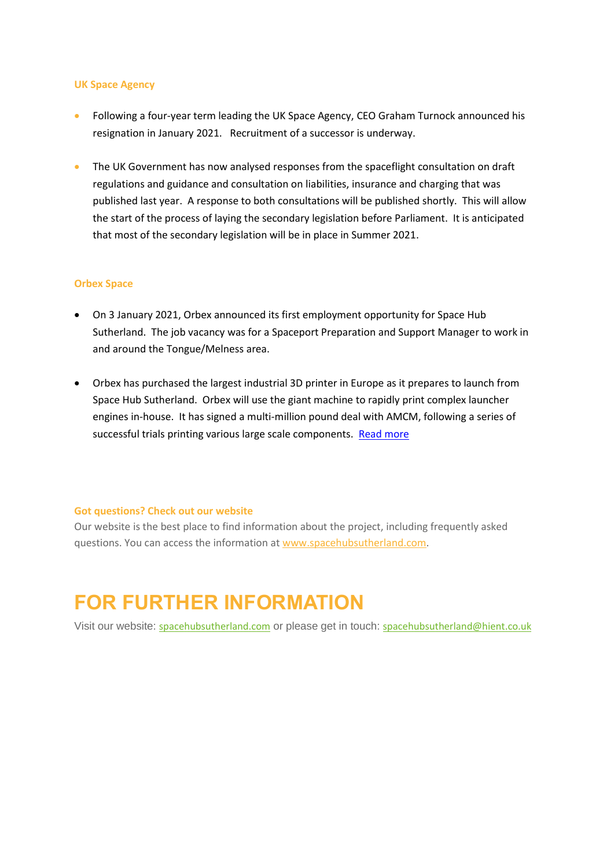#### **UK Space Agency**

- Following a four-year term leading the UK Space Agency, CEO Graham Turnock announced his resignation in January 2021. Recruitment of a successor is underway.
- The UK Government has now analysed responses from the spaceflight consultation on draft regulations and guidance and consultation on liabilities, insurance and charging that was published last year. A response to both consultations will be published shortly. This will allow the start of the process of laying the secondary legislation before Parliament. It is anticipated that most of the secondary legislation will be in place in Summer 2021.

#### **Orbex Space**

- On 3 January 2021, Orbex announced its first employment opportunity for Space Hub Sutherland. The job vacancy was for a Spaceport Preparation and Support Manager to work in and around the Tongue/Melness area.
- Orbex has purchased the largest industrial 3D printer in Europe as it prepares to launch from Space Hub Sutherland. Orbex will use the giant machine to rapidly print complex launcher engines in-house. It has signed a multi-million pound deal with AMCM, following a series of successful trials printing various large scale components. [Read more](https://www.scotsman.com/business/countdown-continues-to-sutherland-spaceport-after-order-placed-for-largest-industrial-3d-printer-in-europe-3143984)

#### **Got questions? Check out our website**

Our website is the best place to find information about the project, including frequently asked questions. You can access the information at [www.spacehubsutherland.com.](https://eur02.safelinks.protection.outlook.com/?url=http%3A%2F%2Fwww.spacehubsutherland.com%3Futm_source%3DUK%2BVertical%2BLaunch%2B%2528UKVL%2529%2BSutherland%2Bspaceport%2Bproject%2Bnewsletter%26utm_campaign%3D91cc571cc8-TIDINGS%2Bfrom%2BMalin%2Bhouse_COPY_01%26utm_medium%3Demail%26utm_term%3D0_19a9c05490-91cc571cc8-%26mc_cid%3D91cc571cc8%26mc_eid%3D%5BUNIQID%5D&data=02%7C01%7Cjune.love%40hient.co.uk%7C46f24fa080ec49dd681a08d77f18c21b%7C42cd146c1e204d8b8df0e184bb9a0994%7C0%7C0%7C637117616613953995&sdata=oN2qcak5BrhVexgXtAh6l7QJPGBKZmfrRddO5sDI0RM%3D&reserved=0)

# **FOR FURTHER INFORMATION**

Visit our website: [spacehubsutherland.com](https://eur02.safelinks.protection.outlook.com/?url=http%3A%2F%2Fwww.spacehubsutherland.com%3Futm_source%3DUK%2BVertical%2BLaunch%2B%2528UKVL%2529%2BSutherland%2Bspaceport%2Bproject%2Bnewsletter%26utm_campaign%3D91cc571cc8-TIDINGS%2Bfrom%2BMalin%2Bhouse_COPY_01%26utm_medium%3Demail%26utm_term%3D0_19a9c05490-91cc571cc8-%26mc_cid%3D91cc571cc8%26mc_eid%3D%5BUNIQID%5D&data=02%7C01%7Cjune.love%40hient.co.uk%7C46f24fa080ec49dd681a08d77f18c21b%7C42cd146c1e204d8b8df0e184bb9a0994%7C0%7C0%7C637117616613953995&sdata=oN2qcak5BrhVexgXtAh6l7QJPGBKZmfrRddO5sDI0RM%3D&reserved=0) or please get in touch: [spacehubsutherland@hient.co.uk](mailto:spacehubsutherland@hient.co.uk)